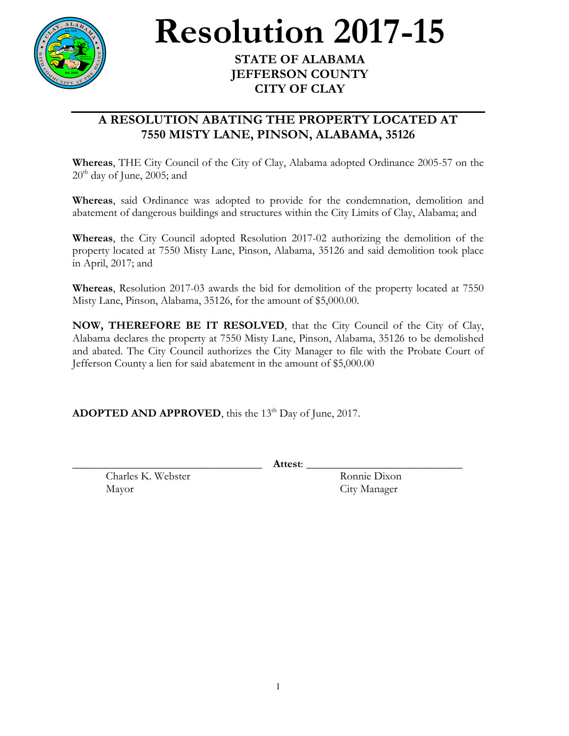

## **Resolution 2017-15**

## **JEFFERSON COUNTY CITY OF CLAY**

## **A RESOLUTION ABATING THE PROPERTY LOCATED AT 7550 MISTY LANE, PINSON, ALABAMA, 35126**

**Whereas**, THE City Council of the City of Clay, Alabama adopted Ordinance 2005-57 on the  $20<sup>th</sup>$  day of June, 2005; and

**Whereas**, said Ordinance was adopted to provide for the condemnation, demolition and abatement of dangerous buildings and structures within the City Limits of Clay, Alabama; and

**Whereas**, the City Council adopted Resolution 2017-02 authorizing the demolition of the property located at 7550 Misty Lane, Pinson, Alabama, 35126 and said demolition took place in April, 2017; and

**Whereas**, Resolution 2017-03 awards the bid for demolition of the property located at 7550 Misty Lane, Pinson, Alabama, 35126, for the amount of \$5,000.00.

**NOW, THEREFORE BE IT RESOLVED**, that the City Council of the City of Clay, Alabama declares the property at 7550 Misty Lane, Pinson, Alabama, 35126 to be demolished and abated. The City Council authorizes the City Manager to file with the Probate Court of Jefferson County a lien for said abatement in the amount of \$5,000.00

**ADOPTED AND APPROVED**, this the 13<sup>th</sup> Day of June, 2017.

\_\_\_\_\_\_\_\_\_\_\_\_\_\_\_\_\_\_\_\_\_\_\_\_\_\_\_\_\_\_\_\_\_\_ **Attest**: \_\_\_\_\_\_\_\_\_\_\_\_\_\_\_\_\_\_\_\_\_\_\_\_\_\_\_\_

Charles K. Webster Ronnie Dixon Mayor City Manager